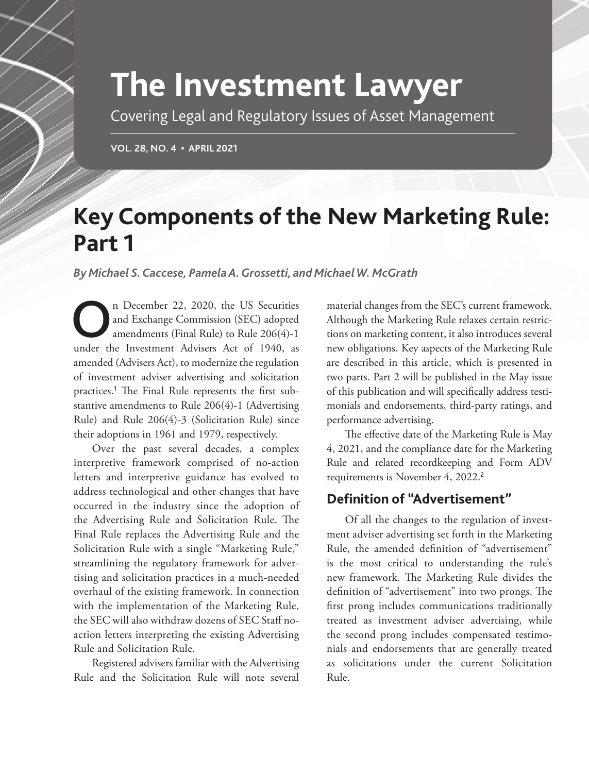# **The Investment Lawyer**

Covering Legal and Regulatory Issues of Asset Management

**VOL. 28, NO. 4 • APRIL 2021**

## **Key Components of the New Marketing Rule: Part 1**

*By Michael S. Caccese, Pamela A. Grossetti, and Michael W. McGrath*

n December 22, 2020, the US Securities<br>and Exchange Commission (SEC) adopted<br>amendments (Final Rule) to Rule 206(4)-1<br>under the Investment Advisors Act of 1940, as and Exchange Commission (SEC) adopted amendments (Final Rule) to Rule 206(4)-1 under the Investment Advisers Act of 1940, as amended (Advisers Act), to modernize the regulation of investment adviser advertising and solicitation practices.<sup>1</sup> The Final Rule represents the first substantive amendments to Rule 206(4)-1 (Advertising Rule) and Rule 206(4)-3 (Solicitation Rule) since their adoptions in 1961 and 1979, respectively.

Over the past several decades, a complex interpretive framework comprised of no-action letters and interpretive guidance has evolved to address technological and other changes that have occurred in the industry since the adoption of the Advertising Rule and Solicitation Rule. The Final Rule replaces the Advertising Rule and the Solicitation Rule with a single "Marketing Rule," streamlining the regulatory framework for advertising and solicitation practices in a much-needed overhaul of the existing framework. In connection with the implementation of the Marketing Rule, the SEC will also withdraw dozens of SEC Staff noaction letters interpreting the existing Advertising Rule and Solicitation Rule.

Registered advisers familiar with the Advertising Rule and the Solicitation Rule will note several material changes from the SEC's current framework. Although the Marketing Rule relaxes certain restrictions on marketing content, it also introduces several new obligations. Key aspects of the Marketing Rule are described in this article, which is presented in two parts. Part 2 will be published in the May issue of this publication and will specifically address testimonials and endorsements, third-party ratings, and performance advertising.

The effective date of the Marketing Rule is May 4, 2021, and the compliance date for the Marketing Rule and related recordkeeping and Form ADV requirements is November 4, 2022.<sup>2</sup>

## **Definition of "Advertisement"**

Of all the changes to the regulation of investment adviser advertising set forth in the Marketing Rule, the amended definition of "advertisement" is the most critical to understanding the rule's new framework. The Marketing Rule divides the definition of "advertisement" into two prongs. The first prong includes communications traditionally treated as investment adviser advertising, while the second prong includes compensated testimonials and endorsements that are generally treated as solicitations under the current Solicitation Rule.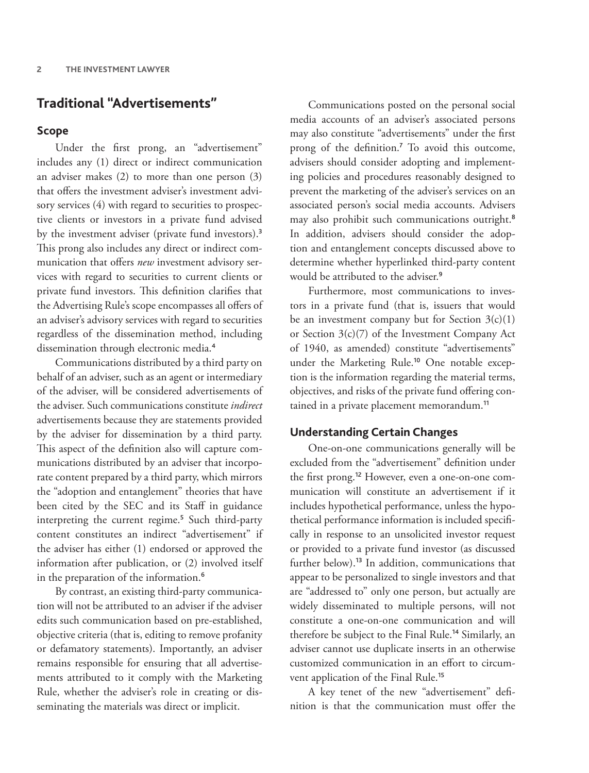### **Traditional "Advertisements"**

#### **Scope**

Under the first prong, an "advertisement" includes any (1) direct or indirect communication an adviser makes (2) to more than one person (3) that offers the investment adviser's investment advisory services (4) with regard to securities to prospective clients or investors in a private fund advised by the investment adviser (private fund investors).<sup>3</sup> This prong also includes any direct or indirect communication that offers *new* investment advisory services with regard to securities to current clients or private fund investors. This definition clarifies that the Advertising Rule's scope encompasses all offers of an adviser's advisory services with regard to securities regardless of the dissemination method, including dissemination through electronic media.<sup>4</sup>

Communications distributed by a third party on behalf of an adviser, such as an agent or intermediary of the adviser, will be considered advertisements of the adviser. Such communications constitute *indirect* advertisements because they are statements provided by the adviser for dissemination by a third party. This aspect of the definition also will capture communications distributed by an adviser that incorporate content prepared by a third party, which mirrors the "adoption and entanglement" theories that have been cited by the SEC and its Staff in guidance interpreting the current regime.<sup>5</sup> Such third-party content constitutes an indirect "advertisement" if the adviser has either (1) endorsed or approved the information after publication, or (2) involved itself in the preparation of the information.<sup>6</sup>

By contrast, an existing third-party communication will not be attributed to an adviser if the adviser edits such communication based on pre-established, objective criteria (that is, editing to remove profanity or defamatory statements). Importantly, an adviser remains responsible for ensuring that all advertisements attributed to it comply with the Marketing Rule, whether the adviser's role in creating or disseminating the materials was direct or implicit.

Communications posted on the personal social media accounts of an adviser's associated persons may also constitute "advertisements" under the first prong of the definition.<sup>7</sup> To avoid this outcome, advisers should consider adopting and implementing policies and procedures reasonably designed to prevent the marketing of the adviser's services on an associated person's social media accounts. Advisers may also prohibit such communications outright.<sup>8</sup> In addition, advisers should consider the adoption and entanglement concepts discussed above to determine whether hyperlinked third-party content would be attributed to the adviser.<sup>9</sup>

Furthermore, most communications to investors in a private fund (that is, issuers that would be an investment company but for Section  $3(c)(1)$ or Section 3(c)(7) of the Investment Company Act of 1940, as amended) constitute "advertisements" under the Marketing Rule.10 One notable exception is the information regarding the material terms, objectives, and risks of the private fund offering contained in a private placement memorandum.<sup>11</sup>

#### **Understanding Certain Changes**

One-on-one communications generally will be excluded from the "advertisement" definition under the first prong.12 However, even a one-on-one communication will constitute an advertisement if it includes hypothetical performance, unless the hypothetical performance information is included specifically in response to an unsolicited investor request or provided to a private fund investor (as discussed further below).<sup>13</sup> In addition, communications that appear to be personalized to single investors and that are "addressed to" only one person, but actually are widely disseminated to multiple persons, will not constitute a one-on-one communication and will therefore be subject to the Final Rule.<sup>14</sup> Similarly, an adviser cannot use duplicate inserts in an otherwise customized communication in an effort to circumvent application of the Final Rule.<sup>15</sup>

A key tenet of the new "advertisement" definition is that the communication must offer the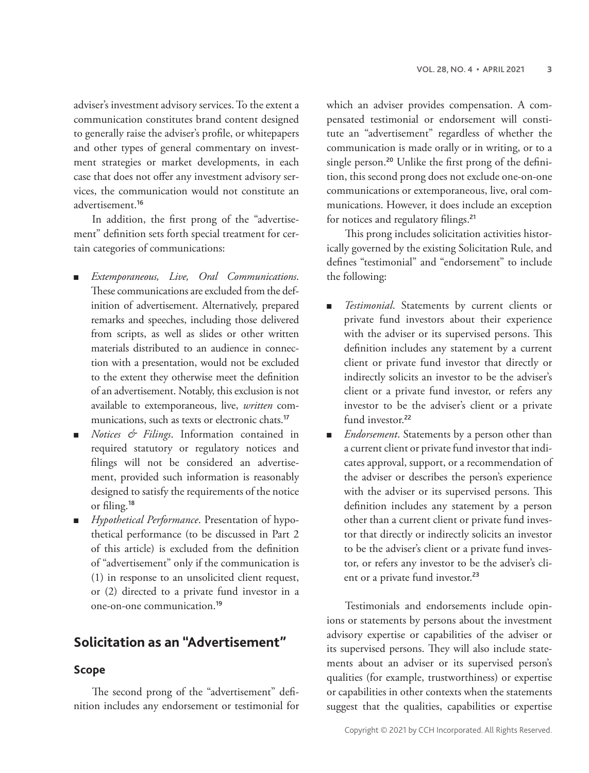adviser's investment advisory services. To the extent a communication constitutes brand content designed to generally raise the adviser's profile, or whitepapers and other types of general commentary on investment strategies or market developments, in each case that does not offer any investment advisory services, the communication would not constitute an advertisement.<sup>16</sup>

In addition, the first prong of the "advertisement" definition sets forth special treatment for certain categories of communications:

- *Extemporaneous, Live, Oral Communications*. These communications are excluded from the definition of advertisement. Alternatively, prepared remarks and speeches, including those delivered from scripts, as well as slides or other written materials distributed to an audience in connection with a presentation, would not be excluded to the extent they otherwise meet the definition of an advertisement. Notably, this exclusion is not available to extemporaneous, live, *written* communications, such as texts or electronic chats.<sup>17</sup>
- *Notices & Filings*. Information contained in required statutory or regulatory notices and filings will not be considered an advertisement, provided such information is reasonably designed to satisfy the requirements of the notice or filing.<sup>18</sup>
- *Hypothetical Performance*. Presentation of hypothetical performance (to be discussed in Part 2 of this article) is excluded from the definition of "advertisement" only if the communication is (1) in response to an unsolicited client request, or (2) directed to a private fund investor in a one-on-one communication.<sup>19</sup>

## **Solicitation as an "Advertisement"**

#### **Scope**

The second prong of the "advertisement" definition includes any endorsement or testimonial for which an adviser provides compensation. A compensated testimonial or endorsement will constitute an "advertisement" regardless of whether the communication is made orally or in writing, or to a single person.<sup>20</sup> Unlike the first prong of the definition, this second prong does not exclude one-on-one communications or extemporaneous, live, oral communications. However, it does include an exception for notices and regulatory filings.<sup>21</sup>

This prong includes solicitation activities historically governed by the existing Solicitation Rule, and defines "testimonial" and "endorsement" to include the following:

- *Testimonial*. Statements by current clients or private fund investors about their experience with the adviser or its supervised persons. This definition includes any statement by a current client or private fund investor that directly or indirectly solicits an investor to be the adviser's client or a private fund investor, or refers any investor to be the adviser's client or a private fund investor.<sup>22</sup>
- *Endorsement*. Statements by a person other than a current client or private fund investor that indicates approval, support, or a recommendation of the adviser or describes the person's experience with the adviser or its supervised persons. This definition includes any statement by a person other than a current client or private fund investor that directly or indirectly solicits an investor to be the adviser's client or a private fund investor, or refers any investor to be the adviser's client or a private fund investor.<sup>23</sup>

Testimonials and endorsements include opinions or statements by persons about the investment advisory expertise or capabilities of the adviser or its supervised persons. They will also include statements about an adviser or its supervised person's qualities (for example, trustworthiness) or expertise or capabilities in other contexts when the statements suggest that the qualities, capabilities or expertise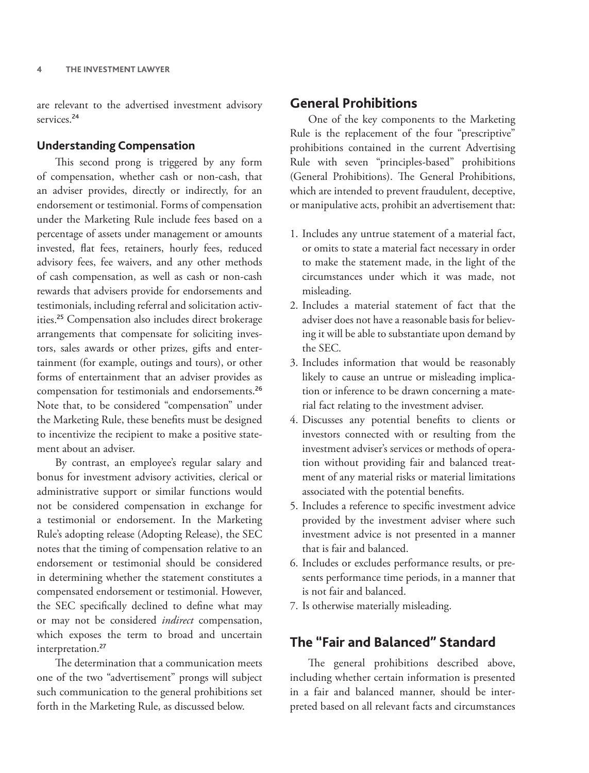are relevant to the advertised investment advisory services.<sup>24</sup>

#### **Understanding Compensation**

This second prong is triggered by any form of compensation, whether cash or non-cash, that an adviser provides, directly or indirectly, for an endorsement or testimonial. Forms of compensation under the Marketing Rule include fees based on a percentage of assets under management or amounts invested, flat fees, retainers, hourly fees, reduced advisory fees, fee waivers, and any other methods of cash compensation, as well as cash or non-cash rewards that advisers provide for endorsements and testimonials, including referral and solicitation activities.<sup>25</sup> Compensation also includes direct brokerage arrangements that compensate for soliciting investors, sales awards or other prizes, gifts and entertainment (for example, outings and tours), or other forms of entertainment that an adviser provides as compensation for testimonials and endorsements.<sup>26</sup> Note that, to be considered "compensation" under the Marketing Rule, these benefits must be designed to incentivize the recipient to make a positive statement about an adviser.

By contrast, an employee's regular salary and bonus for investment advisory activities, clerical or administrative support or similar functions would not be considered compensation in exchange for a testimonial or endorsement. In the Marketing Rule's adopting release (Adopting Release), the SEC notes that the timing of compensation relative to an endorsement or testimonial should be considered in determining whether the statement constitutes a compensated endorsement or testimonial. However, the SEC specifically declined to define what may or may not be considered *indirect* compensation, which exposes the term to broad and uncertain interpretation.<sup>27</sup>

The determination that a communication meets one of the two "advertisement" prongs will subject such communication to the general prohibitions set forth in the Marketing Rule, as discussed below.

#### **General Prohibitions**

One of the key components to the Marketing Rule is the replacement of the four "prescriptive" prohibitions contained in the current Advertising Rule with seven "principles-based" prohibitions (General Prohibitions). The General Prohibitions, which are intended to prevent fraudulent, deceptive, or manipulative acts, prohibit an advertisement that:

- 1. Includes any untrue statement of a material fact, or omits to state a material fact necessary in order to make the statement made, in the light of the circumstances under which it was made, not misleading.
- 2. Includes a material statement of fact that the adviser does not have a reasonable basis for believing it will be able to substantiate upon demand by the SEC.
- 3. Includes information that would be reasonably likely to cause an untrue or misleading implication or inference to be drawn concerning a material fact relating to the investment adviser.
- 4. Discusses any potential benefits to clients or investors connected with or resulting from the investment adviser's services or methods of operation without providing fair and balanced treatment of any material risks or material limitations associated with the potential benefits.
- 5. Includes a reference to specific investment advice provided by the investment adviser where such investment advice is not presented in a manner that is fair and balanced.
- 6. Includes or excludes performance results, or presents performance time periods, in a manner that is not fair and balanced.
- 7. Is otherwise materially misleading.

## **The "Fair and Balanced" Standard**

The general prohibitions described above, including whether certain information is presented in a fair and balanced manner, should be interpreted based on all relevant facts and circumstances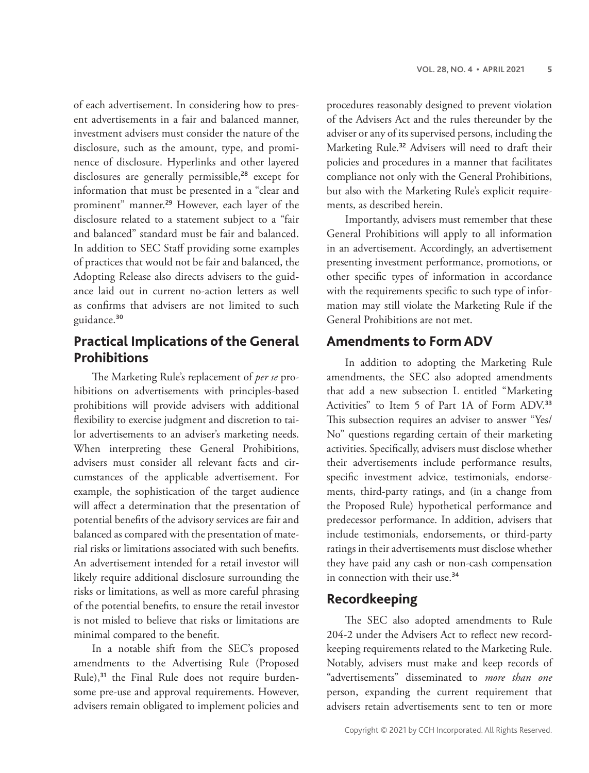of each advertisement. In considering how to present advertisements in a fair and balanced manner, investment advisers must consider the nature of the disclosure, such as the amount, type, and prominence of disclosure. Hyperlinks and other layered disclosures are generally permissible,<sup>28</sup> except for information that must be presented in a "clear and prominent" manner.<sup>29</sup> However, each layer of the disclosure related to a statement subject to a "fair and balanced" standard must be fair and balanced. In addition to SEC Staff providing some examples of practices that would not be fair and balanced, the Adopting Release also directs advisers to the guidance laid out in current no-action letters as well as confirms that advisers are not limited to such guidance.<sup>30</sup>

## **Practical Implications of the General Prohibitions**

The Marketing Rule's replacement of *per se* prohibitions on advertisements with principles-based prohibitions will provide advisers with additional flexibility to exercise judgment and discretion to tailor advertisements to an adviser's marketing needs. When interpreting these General Prohibitions, advisers must consider all relevant facts and circumstances of the applicable advertisement. For example, the sophistication of the target audience will affect a determination that the presentation of potential benefits of the advisory services are fair and balanced as compared with the presentation of material risks or limitations associated with such benefits. An advertisement intended for a retail investor will likely require additional disclosure surrounding the risks or limitations, as well as more careful phrasing of the potential benefits, to ensure the retail investor is not misled to believe that risks or limitations are minimal compared to the benefit.

In a notable shift from the SEC's proposed amendments to the Advertising Rule (Proposed Rule),<sup>31</sup> the Final Rule does not require burdensome pre-use and approval requirements. However, advisers remain obligated to implement policies and procedures reasonably designed to prevent violation of the Advisers Act and the rules thereunder by the adviser or any of its supervised persons, including the Marketing Rule.<sup>32</sup> Advisers will need to draft their policies and procedures in a manner that facilitates compliance not only with the General Prohibitions, but also with the Marketing Rule's explicit requirements, as described herein.

Importantly, advisers must remember that these General Prohibitions will apply to all information in an advertisement. Accordingly, an advertisement presenting investment performance, promotions, or other specific types of information in accordance with the requirements specific to such type of information may still violate the Marketing Rule if the General Prohibitions are not met.

#### **Amendments to Form ADV**

In addition to adopting the Marketing Rule amendments, the SEC also adopted amendments that add a new subsection L entitled "Marketing Activities" to Item 5 of Part 1A of Form ADV.<sup>33</sup> This subsection requires an adviser to answer "Yes/ No" questions regarding certain of their marketing activities. Specifically, advisers must disclose whether their advertisements include performance results, specific investment advice, testimonials, endorsements, third-party ratings, and (in a change from the Proposed Rule) hypothetical performance and predecessor performance. In addition, advisers that include testimonials, endorsements, or third-party ratings in their advertisements must disclose whether they have paid any cash or non-cash compensation in connection with their use.<sup>34</sup>

#### **Recordkeeping**

The SEC also adopted amendments to Rule 204-2 under the Advisers Act to reflect new recordkeeping requirements related to the Marketing Rule. Notably, advisers must make and keep records of "advertisements" disseminated to *more than one* person, expanding the current requirement that advisers retain advertisements sent to ten or more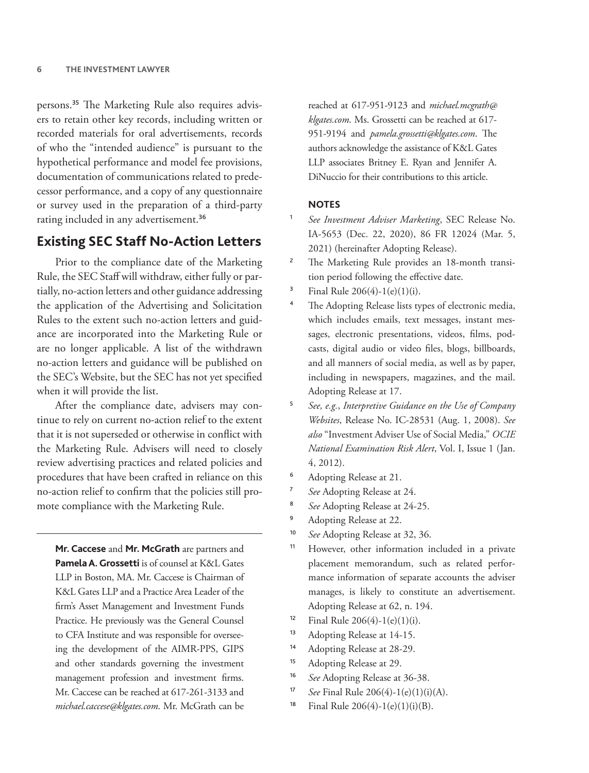persons.<sup>35</sup> The Marketing Rule also requires advisers to retain other key records, including written or recorded materials for oral advertisements, records of who the "intended audience" is pursuant to the hypothetical performance and model fee provisions, documentation of communications related to predecessor performance, and a copy of any questionnaire or survey used in the preparation of a third-party rating included in any advertisement.<sup>36</sup>

#### **Existing SEC Staff No-Action Letters**

Prior to the compliance date of the Marketing Rule, the SEC Staff will withdraw, either fully or partially, no-action letters and other guidance addressing the application of the Advertising and Solicitation Rules to the extent such no-action letters and guidance are incorporated into the Marketing Rule or are no longer applicable. A list of the withdrawn no-action letters and guidance will be published on the SEC's Website, but the SEC has not yet specified when it will provide the list.

After the compliance date, advisers may continue to rely on current no-action relief to the extent that it is not superseded or otherwise in conflict with the Marketing Rule. Advisers will need to closely review advertising practices and related policies and procedures that have been crafted in reliance on this no-action relief to confirm that the policies still promote compliance with the Marketing Rule.

**Mr. Caccese** and **Mr. McGrath** are partners and **Pamela A. Grossetti** is of counsel at K&L Gates LLP in Boston, MA. Mr. Caccese is Chairman of K&L Gates LLP and a Practice Area Leader of the firm's Asset Management and Investment Funds Practice. He previously was the General Counsel to CFA Institute and was responsible for overseeing the development of the AIMR-PPS, GIPS and other standards governing the investment management profession and investment firms. Mr. Caccese can be reached at 617-261-3133 and *[michael.caccese@klgates.com](mailto:michael.caccese@klgates.com)*. Mr. McGrath can be

reached at 617-951-9123 and *[michael.mcgrath@](mailto:michael.mcgrath@klgates.com) [klgates.com](mailto:michael.mcgrath@klgates.com)*. Ms. Grossetti can be reached at 617- 951-9194 and *[pamela.grossetti@klgates.com](mailto:pamela.grossetti@klgates.com)*. The authors acknowledge the assistance of K&L Gates LLP associates Britney E. Ryan and Jennifer A. DiNuccio for their contributions to this article.

#### **NOTES**

- <sup>1</sup> *See Investment Adviser Marketing*, SEC Release No. IA-5653 (Dec. 22, 2020), 86 FR 12024 (Mar. 5, 2021) (hereinafter Adopting Release).
- The Marketing Rule provides an 18-month transition period following the effective date.
- <sup>3</sup> Final Rule  $206(4) 1(e)(1)(i)$ .
- <sup>4</sup> The Adopting Release lists types of electronic media, which includes emails, text messages, instant messages, electronic presentations, videos, films, podcasts, digital audio or video files, blogs, billboards, and all manners of social media, as well as by paper, including in newspapers, magazines, and the mail. Adopting Release at 17.
- <sup>5</sup> *See, e.g.*, *Interpretive Guidance on the Use of Company Websites*, Release No. IC-28531 (Aug. 1, 2008). *See also* "Investment Adviser Use of Social Media," *OCIE National Examination Risk Alert*, Vol. I, Issue 1 (Jan. 4, 2012).
- <sup>6</sup> Adopting Release at 21.
- <sup>7</sup> *See* Adopting Release at 24.
- <sup>8</sup> *See* Adopting Release at 24-25.
- <sup>9</sup> Adopting Release at 22.
- <sup>10</sup> *See* Adopting Release at 32, 36.
- <sup>11</sup> However, other information included in a private placement memorandum, such as related performance information of separate accounts the adviser manages, is likely to constitute an advertisement. Adopting Release at 62, n. 194.
- <sup>12</sup> Final Rule  $206(4) 1(e)(1)(i)$ .
- <sup>13</sup> Adopting Release at 14-15.
- <sup>14</sup> Adopting Release at 28-29.
- <sup>15</sup> Adopting Release at 29.
- <sup>16</sup> *See* Adopting Release at 36-38.
- <sup>17</sup> *See* Final Rule 206(4)-1(e)(1)(i)(A).
- <sup>18</sup> Final Rule  $206(4)-1(e)(1)(i)(B)$ .